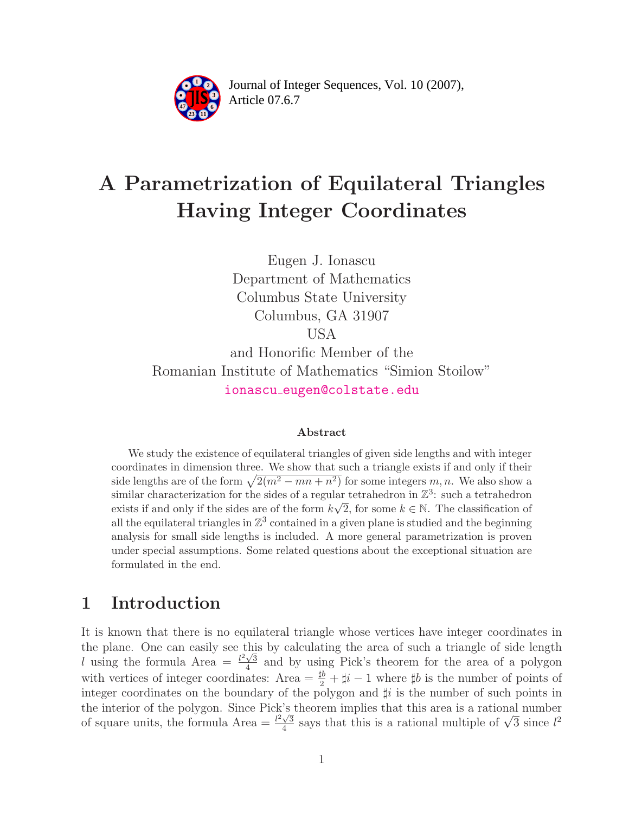

Article 07.6.7 **<sup>2</sup>** Journal of Integer Sequences, Vol. 10 (2007),

# A Parametrization of Equilateral Triangles Having Integer Coordinates

Eugen J. Ionascu Department of Mathematics Columbus State University Columbus, GA 31907 USA and Honorific Member of the

Romanian Institute of Mathematics "Simion Stoilow" ionascu [eugen@colstate.edu](mailto:chamberl@math.grinnell.edu)

#### Abstract

We study the existence of equilateral triangles of given side lengths and with integer coordinates in dimension three. We show that such a triangle exists if and only if their side lengths are of the form  $\sqrt{2(m^2 - mn + n^2)}$  for some integers m, n. We also show a similar characterization for the sides of a regular tetrahedron in  $\mathbb{Z}^3$ : such a tetrahedron exists if and only if the sides are of the form  $k\sqrt{2}$ , for some  $k \in \mathbb{N}$ . The classification of all the equilateral triangles in  $\mathbb{Z}^3$  contained in a given plane is studied and the beginning analysis for small side lengths is included. A more general parametrization is proven under special assumptions. Some related questions about the exceptional situation are formulated in the end.

### 1 Introduction

It is known that there is no equilateral triangle whose vertices have integer coordinates in the plane. One can easily see this by calculating the area of such a triangle of side length l using the formula Area  $=\frac{l^2\sqrt{3}}{4}$  $\frac{\sqrt{3}}{4}$  and by using Pick's theorem for the area of a polygon with vertices of integer coordinates: Area  $=\frac{\cancel{1b}}{2} + \cancel{1}i - 1$  where  $\cancel{1b}$  is the number of points of integer coordinates on the boundary of the polygon and  $\sharp i$  is the number of such points in the interior of the polygon. Since Pick's theorem implies that this area is a rational number of square units, the formula Area  $=$   $\frac{l^2\sqrt{3}}{4}$  $\frac{\sqrt{3}}{4}$  says that this is a rational multiple of  $\sqrt{3}$  since  $l^2$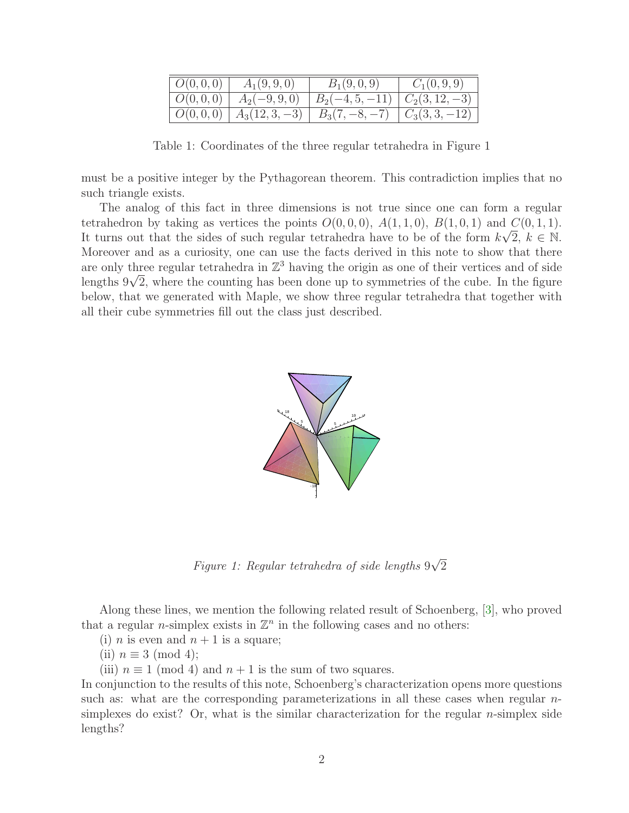| $ O(0,0,0) $ $A_1(9,9,0)$  | $B_1(9,0,9)$                                              | $C_1(0, 9, 9)$ |
|----------------------------|-----------------------------------------------------------|----------------|
| $ O(0,0,0) $ $A_2(-9,9,0)$ | $B_2(-4, 5, -11)$ $C_2(3, 12, -3)$                        |                |
|                            | $  O(0,0,0)   A_3(12,3,-3)   B_3(7,-8,-7)   C_3(3,3,-12)$ |                |

Table 1: Coordinates of the three regular tetrahedra in Figure 1

must be a positive integer by the Pythagorean theorem. This contradiction implies that no such triangle exists.

The analog of this fact in three dimensions is not true since one can form a regular tetrahedron by taking as vertices the points  $O(0,0,0)$ ,  $A(1,1,0)$ ,  $B(1,0,1)$  and  $C(0,1,1)$ . It turns out that the sides of such regular tetrahedra have to be of the form  $k\sqrt{2}$ ,  $k \in \mathbb{N}$ . Moreover and as a curiosity, one can use the facts derived in this note to show that there are only three regular tetrahedra in  $\mathbb{Z}^3$  having the origin as one of their vertices and of side lengths  $9\sqrt{2}$ , where the counting has been done up to symmetries of the cube. In the figure below, that we generated with Maple, we show three regular tetrahedra that together with all their cube symmetries fill out the class just described.



Figure 1: Regular tetrahedra of side lengths  $9\sqrt{2}$ 

Along these lines, we mention the following related result of Schoenberg, [\[3\]](#page-16-0), who proved that a regular *n*-simplex exists in  $\mathbb{Z}^n$  in the following cases and no others:

(i) *n* is even and  $n + 1$  is a square;

(ii)  $n \equiv 3 \pmod{4}$ ;

(iii)  $n \equiv 1 \pmod{4}$  and  $n + 1$  is the sum of two squares.

In conjunction to the results of this note, Schoenberg's characterization opens more questions such as: what are the corresponding parameterizations in all these cases when regular *n*simplexes do exist? Or, what is the similar characterization for the regular  $n$ -simplex side lengths?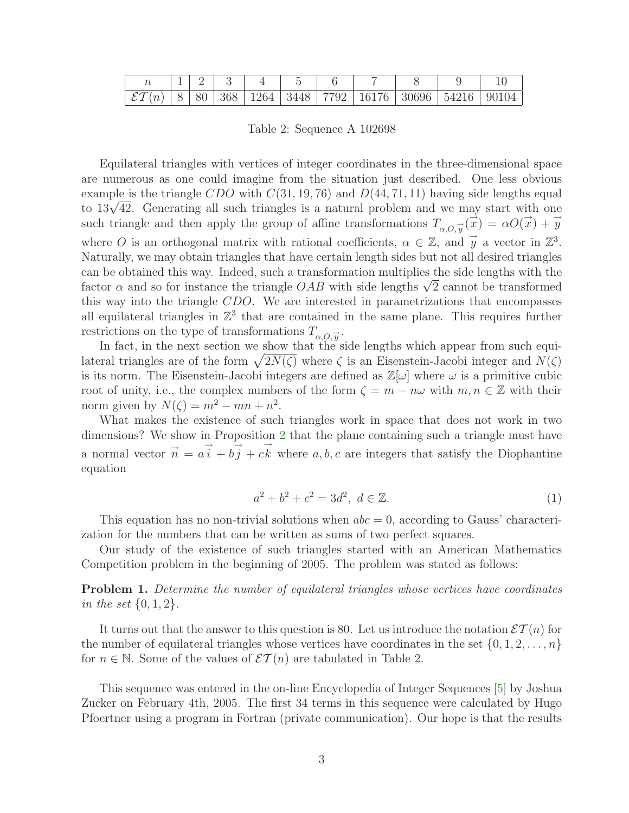| $\mid \mathcal{ET}(n) \mid 8 \mid 80 \mid 368 \mid 1264 \mid 3448 \mid 7792 \mid 16176 \mid 30696 \mid 54216 \mid 90104$ |  |  |  |  |  |
|--------------------------------------------------------------------------------------------------------------------------|--|--|--|--|--|

Table 2: Sequence A 102698

Equilateral triangles with vertices of integer coordinates in the three-dimensional space are numerous as one could imagine from the situation just described. One less obvious example is the triangle CDO with  $C(31, 19, 76)$  and  $D(44, 71, 11)$  having side lengths equal to  $13\sqrt{42}$ . Generating all such triangles is a natural problem and we may start with one such triangle and then apply the group of affine transformations  $T_{\alpha,0,\vec{y}}(\vec{x}) = \alpha O(\vec{x}) + \vec{y}$ where O is an orthogonal matrix with rational coefficients,  $\alpha \in \mathbb{Z}$ , and  $\vec{y}$  a vector in  $\mathbb{Z}^3$ . Naturally, we may obtain triangles that have certain length sides but not all desired triangles can be obtained this way. Indeed, such a transformation multiplies the side lengths with the factor  $\alpha$  and so for instance the triangle  $OAB$  with side lengths  $\sqrt{2}$  cannot be transformed this way into the triangle CDO. We are interested in parametrizations that encompasses all equilateral triangles in  $\mathbb{Z}^3$  that are contained in the same plane. This requires further restrictions on the type of transformations  $T_{\alpha,O,\vec{y}}$ .

In fact, in the next section we show that the side lengths which appear from such equilateral triangles are of the form  $\sqrt{2N(\zeta)}$  where  $\zeta$  is an Eisenstein-Jacobi integer and  $N(\zeta)$ is its norm. The Eisenstein-Jacobi integers are defined as  $\mathbb{Z}[\omega]$  where  $\omega$  is a primitive cubic root of unity, i.e., the complex numbers of the form  $\zeta = m - n\omega$  with  $m, n \in \mathbb{Z}$  with their norm given by  $N(\zeta) = m^2 - mn + n^2$ .

What makes the existence of such triangles work in space that does not work in two dimensions? We show in Proposition [2](#page-3-0) that the plane containing such a triangle must have a normal vector  $\vec{n} = a\vec{i} + b\vec{j} + c\vec{k}$  where  $a, b, c$  are integers that satisfy the Diophantine equation

$$
a^2 + b^2 + c^2 = 3d^2, \ d \in \mathbb{Z}.
$$
 (1)

<span id="page-2-0"></span>This equation has no non-trivial solutions when  $abc = 0$ , according to Gauss' characterization for the numbers that can be written as sums of two perfect squares.

Our study of the existence of such triangles started with an American Mathematics Competition problem in the beginning of 2005. The problem was stated as follows:

**Problem 1.** Determine the number of equilateral triangles whose vertices have coordinates in the set  $\{0, 1, 2\}$ .

It turns out that the answer to this question is 80. Let us introduce the notation  $\mathcal{ET}(n)$  for the number of equilateral triangles whose vertices have coordinates in the set  $\{0, 1, 2, \ldots, n\}$ for  $n \in \mathbb{N}$ . Some of the values of  $\mathcal{ET}(n)$  are tabulated in Table 2.

This sequence was entered in the on-line Encyclopedia of Integer Sequences [\[5\]](#page-16-1) by Joshua Zucker on February 4th, 2005. The first 34 terms in this sequence were calculated by Hugo Pfoertner using a program in Fortran (private communication). Our hope is that the results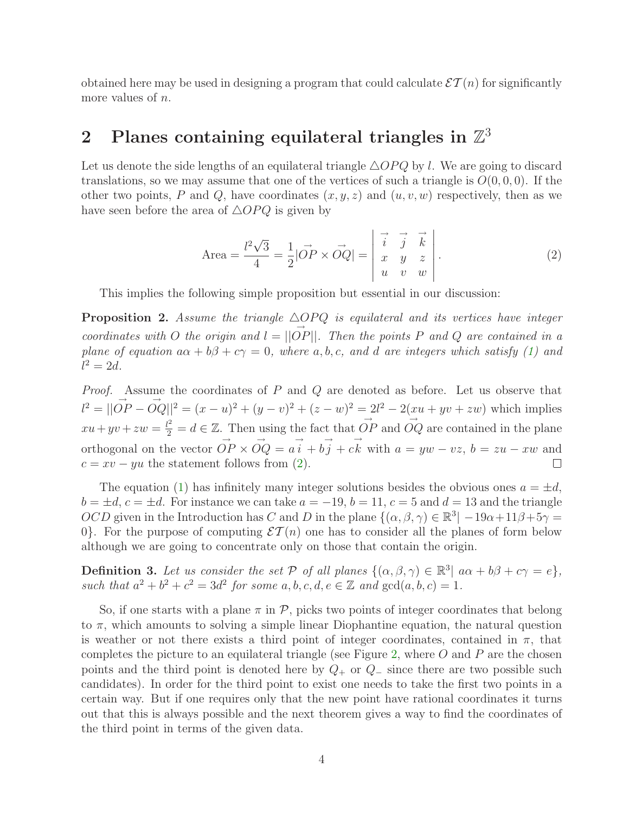obtained here may be used in designing a program that could calculate  $\mathcal{ET}(n)$  for significantly more values of *n*.

### 2 Planes containing equilateral triangles in  $\mathbb{Z}^3$

<span id="page-3-1"></span>Let us denote the side lengths of an equilateral triangle  $\triangle OPQ$  by l. We are going to discard translations, so we may assume that one of the vertices of such a triangle is  $O(0, 0, 0)$ . If the other two points, P and Q, have coordinates  $(x, y, z)$  and  $(u, v, w)$  respectively, then as we have seen before the area of  $\triangle OPQ$  is given by

Area 
$$
=
$$
  $\frac{l^2\sqrt{3}}{4} = \frac{1}{2} |\vec{OP} \times \vec{OQ}| = \begin{vmatrix} \vec{i} & \vec{j} & \vec{k} \\ \vec{i} & \vec{j} & \vec{k} \\ x & y & z \\ u & v & w \end{vmatrix}$ . (2)

This implies the following simple proposition but essential in our discussion:

<span id="page-3-0"></span>**Proposition 2.** Assume the triangle  $\triangle OPQ$  is equilateral and its vertices have integer coordinates with O the origin and  $l = ||\vec{OP}||$ . Then the points P and Q are contained in a plane of equation  $a\alpha + b\beta + c\gamma = 0$ , where a, b, c, and d are integers which satisfy [\(1\)](#page-2-0) and  $l^2 = 2d$ .

*Proof.* Assume the coordinates of  $P$  and  $Q$  are denoted as before. Let us observe that  $\vec{U}^2 = ||\vec{OP} - \vec{OQ}||^2 = (x - u)^2 + (y - v)^2 + (z - w)^2 = 2\vec{U}^2 - 2(\underline{x}u + yv + zw)$  which implies  $xu + yv + zw = \frac{l^2}{2} = d \in \mathbb{Z}$ . Then using the fact that  $\overrightarrow{OP}$  and  $\overrightarrow{OQ}$  are contained in the plane orthogonal on the vector  $\overrightarrow{OP} \times \overrightarrow{OQ} = a\overrightarrow{i} + b\overrightarrow{j} + c\overrightarrow{k}$  with  $a = yw - vz, b = zu - xw$  and  $c = xv - yu$  the statement follows from [\(2\)](#page-3-1).

The equation [\(1\)](#page-2-0) has infinitely many integer solutions besides the obvious ones  $a = \pm d$ ,  $b = \pm d$ ,  $c = \pm d$ . For instance we can take  $a = -19$ ,  $b = 11$ ,  $c = 5$  and  $d = 13$  and the triangle  $OCD$  given in the Introduction has C and D in the plane  $\{(\alpha, \beta, \gamma) \in \mathbb{R}^3 | -19\alpha + 11\beta + 5\gamma =$ 0. For the purpose of computing  $\mathcal{ET}(n)$  one has to consider all the planes of form below although we are going to concentrate only on those that contain the origin.

**Definition 3.** Let us consider the set  $P$  of all planes  $\{(\alpha, \beta, \gamma) \in \mathbb{R}^3 | a\alpha + b\beta + c\gamma = e\},\$ such that  $a^2 + b^2 + c^2 = 3d^2$  for some  $a, b, c, d, e \in \mathbb{Z}$  and  $gcd(a, b, c) = 1$ .

<span id="page-3-2"></span>So, if one starts with a plane  $\pi$  in  $\mathcal{P}$ , picks two points of integer coordinates that belong to  $\pi$ , which amounts to solving a simple linear Diophantine equation, the natural question is weather or not there exists a third point of integer coordinates, contained in  $\pi$ , that completes the picture to an equilateral triangle (see Figure [2,](#page-4-0) where  $O$  and  $P$  are the chosen points and the third point is denoted here by  $Q_+$  or  $Q_-$  since there are two possible such candidates). In order for the third point to exist one needs to take the first two points in a certain way. But if one requires only that the new point have rational coordinates it turns out that this is always possible and the next theorem gives a way to find the coordinates of the third point in terms of the given data.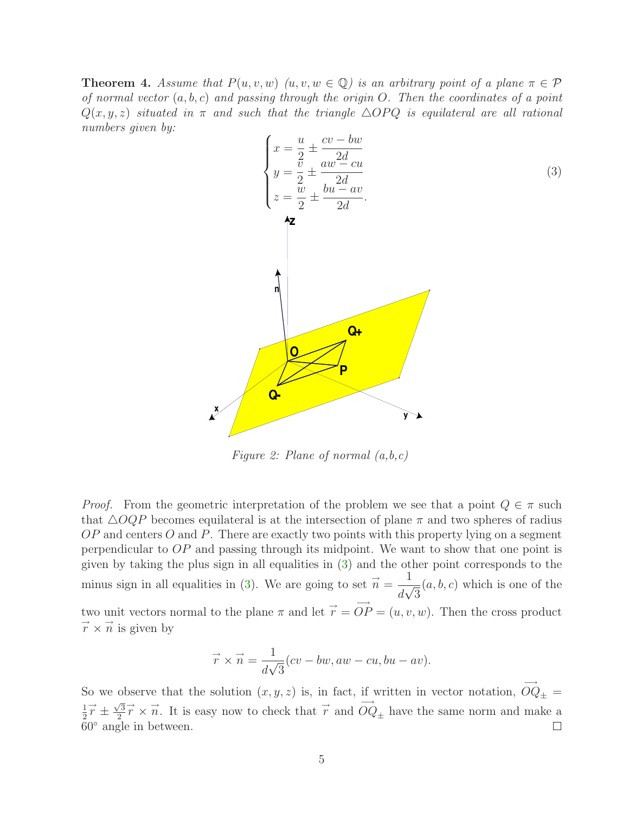<span id="page-4-0"></span>**Theorem 4.** Assume that  $P(u, v, w)$   $(u, v, w \in \mathbb{Q})$  is an arbitrary point of a plane  $\pi \in \mathcal{P}$ of normal vector  $(a, b, c)$  and passing through the origin O. Then the coordinates of a point  $Q(x, y, z)$  situated in  $\pi$  and such that the triangle  $\triangle OPQ$  is equilateral are all rational numbers given by:



Figure 2: Plane of normal  $(a,b,c)$ 

*Proof.* From the geometric interpretation of the problem we see that a point  $Q \in \pi$  such that  $\triangle OQP$  becomes equilateral is at the intersection of plane  $\pi$  and two spheres of radius  $OP$  and centers O and P. There are exactly two points with this property lying on a segment perpendicular to OP and passing through its midpoint. We want to show that one point is given by taking the plus sign in all equalities in [\(3\)](#page-4-0) and the other point corresponds to the minus sign in all equalities in [\(3\)](#page-4-0). We are going to set  $\vec{n} =$ 1  $\overline{d\sqrt{3}}$  $(a, b, c)$  which is one of the two unit vectors normal to the plane  $\pi$  and let  $\vec{r} = \vec{OP} = (u, v, w)$ . Then the cross product  $\overrightarrow{r} \times \overrightarrow{n}$  is given by

$$
\vec{r} \times \vec{n} = \frac{1}{d\sqrt{3}}(cv - bw, aw - cu, bu - av).
$$

So we observe that the solution  $(x, y, z)$  is, in fact, if written in vector notation,  $\overrightarrow{OQ}_{\pm} =$ 1 2  $\overrightarrow{r} \pm \frac{\sqrt{3}}{2}$ 2  $\vec{r} \times \vec{n}$ . It is easy now to check that  $\vec{r}$  and  $\vec{OQ}_{\pm}$  have the same norm and make a  $60^\circ$  angle in between.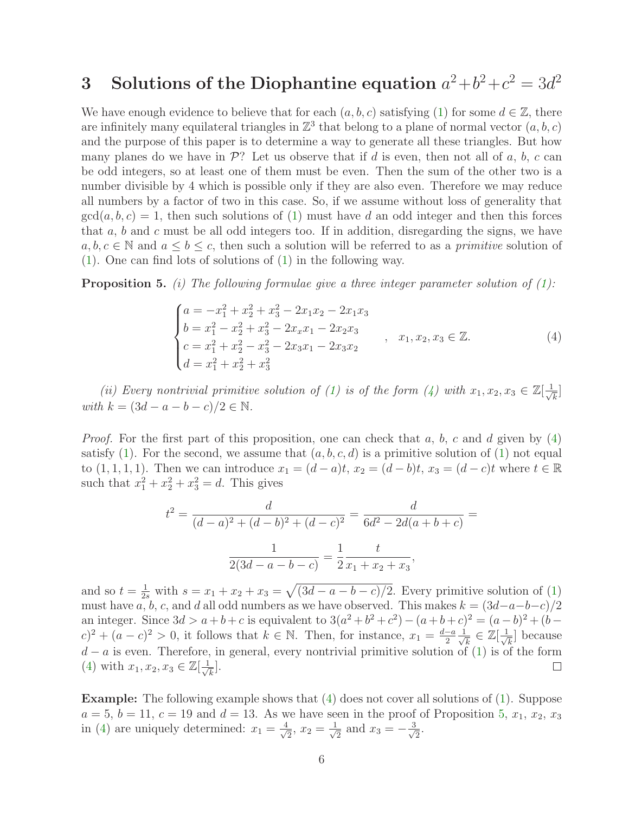## 3 Solutions of the Diophantine equation  $a^2+b^2+c^2=3d^2$

We have enough evidence to believe that for each  $(a, b, c)$  satisfying [\(1\)](#page-2-0) for some  $d \in \mathbb{Z}$ , there are infinitely many equilateral triangles in  $\mathbb{Z}^3$  that belong to a plane of normal vector  $(a, b, c)$ and the purpose of this paper is to determine a way to generate all these triangles. But how many planes do we have in  $\mathcal{P}$ ? Let us observe that if d is even, then not all of a, b, c can be odd integers, so at least one of them must be even. Then the sum of the other two is a number divisible by 4 which is possible only if they are also even. Therefore we may reduce all numbers by a factor of two in this case. So, if we assume without loss of generality that  $gcd(a, b, c) = 1$ , then such solutions of [\(1\)](#page-2-0) must have d an odd integer and then this forces that  $a, b$  and  $c$  must be all odd integers too. If in addition, disregarding the signs, we have  $a, b, c \in \mathbb{N}$  and  $a \leq b \leq c$ , then such a solution will be referred to as a *primitive* solution of [\(1\)](#page-2-0). One can find lots of solutions of [\(1\)](#page-2-0) in the following way.

<span id="page-5-1"></span>**Proposition 5.** (i) The following formulae give a three integer parameter solution of  $(1)$ :

<span id="page-5-0"></span>
$$
\begin{cases}\na = -x_1^2 + x_2^2 + x_3^2 - 2x_1x_2 - 2x_1x_3 \\
b = x_1^2 - x_2^2 + x_3^2 - 2x_2x_1 - 2x_2x_3 \\
c = x_1^2 + x_2^2 - x_3^2 - 2x_3x_1 - 2x_3x_2 \\
d = x_1^2 + x_2^2 + x_3^2\n\end{cases}
$$
\n(4)

(ii) Every nontrivial primitive solution of [\(1\)](#page-2-0) is of the form [\(4\)](#page-5-0) with  $x_1, x_2, x_3 \in \mathbb{Z}[\frac{1}{\sqrt{n}}]$  $\frac{1}{k}$ with  $k = (3d - a - b - c)/2 \in \mathbb{N}$ .

*Proof.* For the first part of this proposition, one can check that a, b, c and d given by  $(4)$ satisfy [\(1\)](#page-2-0). For the second, we assume that  $(a, b, c, d)$  is a primitive solution of [\(1\)](#page-2-0) not equal to  $(1, 1, 1, 1)$ . Then we can introduce  $x_1 = (d - a)t$ ,  $x_2 = (d - b)t$ ,  $x_3 = (d - c)t$  where  $t \in \mathbb{R}$ such that  $x_1^2 + x_2^2 + x_3^2 = d$ . This gives

$$
t^{2} = \frac{d}{(d-a)^{2} + (d-b)^{2} + (d-c)^{2}} = \frac{d}{6d^{2} - 2d(a+b+c)} = \frac{1}{2(3d-a-b-c)} = \frac{1}{2}\frac{t}{x_{1} + x_{2} + x_{3}},
$$

and so  $t = \frac{1}{2s}$  with  $s = x_1 + x_2 + x_3 = \sqrt{(3d - a - b - c)/2}$ . Every primitive solution of [\(1\)](#page-2-0) must have a, b, c, and d all odd numbers as we have observed. This makes  $k = (3d-a-b-c)/2$ an integer. Since  $3d > a + b + c$  is equivalent to  $3(a^2 + b^2 + c^2) - (a + b + c)^2 = (a - b)^2 + (b - c)^2$  $(c)^2 + (a - c)^2 > 0$ , it follows that  $k \in \mathbb{N}$ . Then, for instance,  $x_1 = \frac{d-a}{2} \frac{1}{\sqrt{d}}$  $\frac{1}{\overline{k}}\in\mathbb{Z}[\frac{1}{\sqrt{2}}]$  $\frac{1}{\overline{k}}$  because  $d - a$  is even. Therefore, in general, every nontrivial primitive solution of [\(1\)](#page-2-0) is of the form (4) with  $x_1, x_2, x_3 \in \mathbb{Z}[\frac{1}{x}]$ . [\(4\)](#page-5-0) with  $x_1, x_2, x_3 \in \mathbb{Z}[\frac{1}{\sqrt{n}}]$  $\frac{1}{k}$ .

Example: The following example shows that [\(4\)](#page-5-0) does not cover all solutions of [\(1\)](#page-2-0). Suppose  $a = 5, b = 11, c = 19$  $a = 5, b = 11, c = 19$  $a = 5, b = 11, c = 19$  and  $d = 13$ . As we have seen in the proof of Proposition 5,  $x_1, x_2, x_3$ in [\(4\)](#page-5-0) are uniquely determined:  $x_1 = \frac{4}{\sqrt{2}}$  $\frac{1}{2}$ ,  $x_2 = \frac{1}{\sqrt{2}}$  $\frac{1}{2}$  and  $x_3 = -\frac{3}{\sqrt{2}}$  $\frac{1}{2}$ .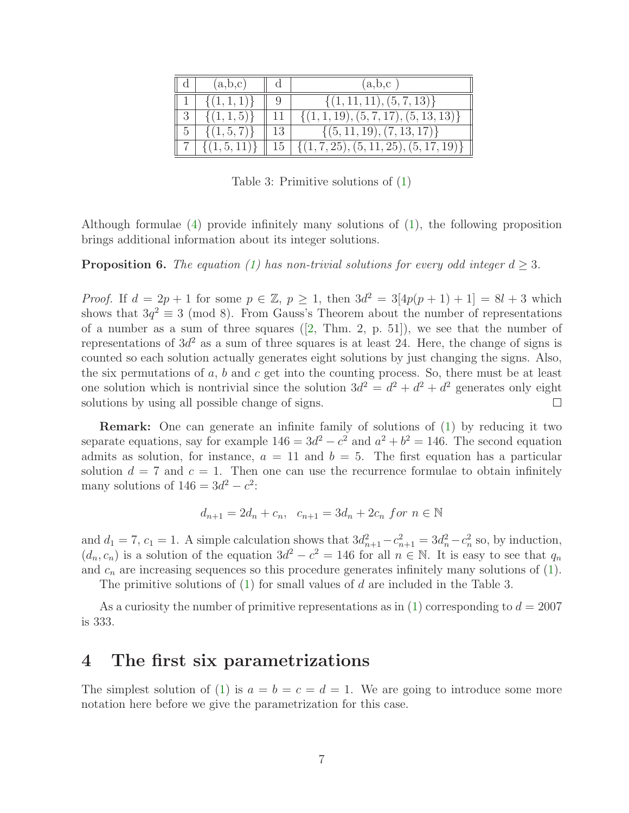|   | (a,b,c)         |    | (a,b,c)                                    |
|---|-----------------|----|--------------------------------------------|
|   | $\{(1,1,1)\}\$  |    | $\{(1, 11, 11), (5, 7, 13)\}\$             |
|   | $\{(1,1,5)\}\$  |    | $\{(1, 1, 19), (5, 7, 17), (5, 13, 13)\}\$ |
| 5 | $\{(1,5,7)\}\$  | 13 | $\{(5, 11, 19), (7, 13, 17)\}\$            |
|   | $\{(1,5,11)\}\$ | 15 | $\{(1,7,25), (5,11,25), (5,17,19)\}\$      |

Table 3: Primitive solutions of [\(1\)](#page-2-0)

<span id="page-6-0"></span>Although formulae [\(4\)](#page-5-0) provide infinitely many solutions of [\(1\)](#page-2-0), the following proposition brings additional information about its integer solutions.

**Proposition 6.** The equation [\(1\)](#page-2-0) has non-trivial solutions for every odd integer  $d \geq 3$ .

*Proof.* If  $d = 2p + 1$  for some  $p \in \mathbb{Z}$ ,  $p \ge 1$ , then  $3d^2 = 3[4p(p + 1) + 1] = 8l + 3$  which shows that  $3q^2 \equiv 3 \pmod{8}$ . From Gauss's Theorem about the number of representations of a number as a sum of three squares ([\[2,](#page-16-2) Thm. 2, p. 51]), we see that the number of representations of  $3d^2$  as a sum of three squares is at least 24. Here, the change of signs is counted so each solution actually generates eight solutions by just changing the signs. Also, the six permutations of  $a, b$  and  $c$  get into the counting process. So, there must be at least one solution which is nontrivial since the solution  $3d^2 = d^2 + d^2 + d^2$  generates only eight solutions by using all possible change of signs.  $\Box$ 

Remark: One can generate an infinite family of solutions of [\(1\)](#page-2-0) by reducing it two separate equations, say for example  $146 = 3d^2 - c^2$  and  $a^2 + b^2 = 146$ . The second equation admits as solution, for instance,  $a = 11$  and  $b = 5$ . The first equation has a particular solution  $d = 7$  and  $c = 1$ . Then one can use the recurrence formulae to obtain infinitely many solutions of  $146 = 3d^2 - c^2$ :

$$
d_{n+1} = 2d_n + c_n, \ \ c_{n+1} = 3d_n + 2c_n \ \text{for} \ n \in \mathbb{N}
$$

and  $d_1 = 7$ ,  $c_1 = 1$ . A simple calculation shows that  $3d_{n+1}^2 - c_{n+1}^2 = 3d_n^2 - c_n^2$  so, by induction,  $(d_n, c_n)$  is a solution of the equation  $3d^2 - c^2 = 146$  for all  $n \in \mathbb{N}$ . It is easy to see that  $q_n$ and  $c_n$  are increasing sequences so this procedure generates infinitely many solutions of  $(1)$ .

The primitive solutions of [\(1\)](#page-2-0) for small values of d are included in the Table 3.

As a curiosity the number of primitive representations as in [\(1\)](#page-2-0) corresponding to  $d = 2007$ is 333.

#### 4 The first six parametrizations

The simplest solution of [\(1\)](#page-2-0) is  $a = b = c = d = 1$ . We are going to introduce some more notation here before we give the parametrization for this case.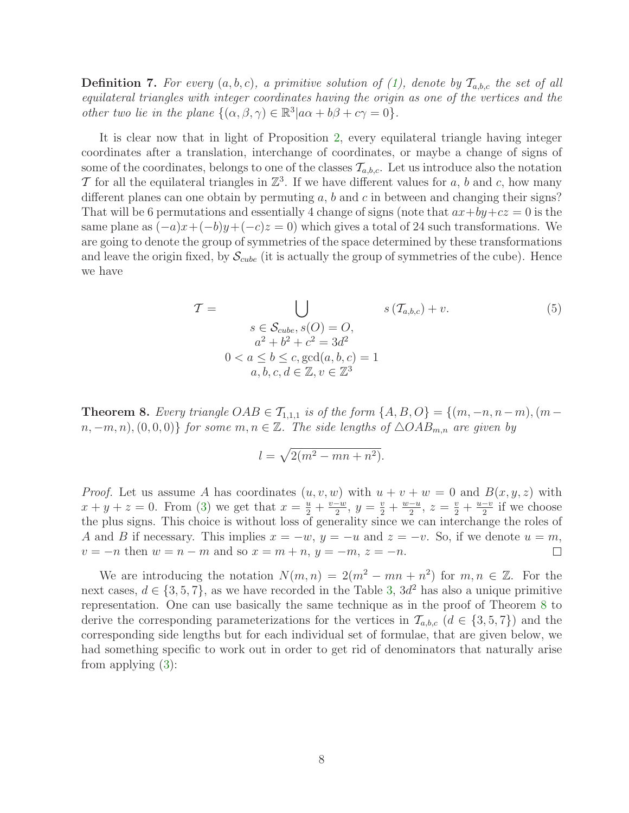**Definition 7.** For every  $(a, b, c)$ , a primitive solution of [\(1\)](#page-2-0), denote by  $\mathcal{T}_{a,b,c}$  the set of all equilateral triangles with integer coordinates having the origin as one of the vertices and the *other two lie in the plane*  $\{(\alpha, \beta, \gamma) \in \mathbb{R}^3 | a\alpha + b\beta + c\gamma = 0\}.$ 

It is clear now that in light of Proposition [2,](#page-3-0) every equilateral triangle having integer coordinates after a translation, interchange of coordinates, or maybe a change of signs of some of the coordinates, belongs to one of the classes  $\mathcal{T}_{a,b,c}$ . Let us introduce also the notation T for all the equilateral triangles in  $\mathbb{Z}^3$ . If we have different values for a, b and c, how many different planes can one obtain by permuting  $a, b$  and c in between and changing their signs? That will be 6 permutations and essentially 4 change of signs (note that  $ax+by+cz = 0$  is the same plane as  $(-a)x+(-b)y+(-c)z=0$ ) which gives a total of 24 such transformations. We are going to denote the group of symmetries of the space determined by these transformations and leave the origin fixed, by  $\mathcal{S}_{cube}$  (it is actually the group of symmetries of the cube). Hence we have

$$
\mathcal{T} = \bigcup_{\substack{S \in \mathcal{S}_{cube}, S(O) = O, \\ a^2 + b^2 + c^2 = 3d^2}} s(\mathcal{T}_{a,b,c}) + v. \tag{5}
$$
\n
$$
0 < a \le b \le c, \gcd(a, b, c) = 1
$$
\n
$$
a, b, c, d \in \mathbb{Z}, v \in \mathbb{Z}^3
$$

<span id="page-7-1"></span><span id="page-7-0"></span>**Theorem 8.** Every triangle  $OAB \in \mathcal{T}_{1,1,1}$  is of the form  $\{A, B, O\} = \{(m, -n, n-m), (m-m)\}$  $n, -m, n$ ,  $(0, 0, 0)$  for some  $m, n \in \mathbb{Z}$ . The side lengths of  $\triangle OAB_{m,n}$  are given by

$$
l = \sqrt{2(m^2 - mn + n^2)}.
$$

*Proof.* Let us assume A has coordinates  $(u, v, w)$  with  $u + v + w = 0$  and  $B(x, y, z)$  with  $x + y + z = 0$ . From [\(3\)](#page-4-0) we get that  $x = \frac{u}{2} + \frac{v - w}{2}$ ,  $y = \frac{v}{2} + \frac{w - u}{2}$ ,  $z = \frac{v}{2} + \frac{u - v}{2}$  if we choose the plus signs. This choice is without loss of generality since we can interchange the roles of A and B if necessary. This implies  $x = -w$ ,  $y = -u$  and  $z = -v$ . So, if we denote  $u = m$ ,  $v = -n$  then  $w = n - m$  and so  $x = m + n$ ,  $y = -m$ ,  $z = -n$ .  $v = -n$  then  $w = n - m$  and so  $x = m + n$ ,  $y = -m$ ,  $z = -n$ .

We are introducing the notation  $N(m, n) = 2(m^2 - mn + n^2)$  for  $m, n \in \mathbb{Z}$ . For the next cases,  $d \in \{3, 5, 7\}$  $d \in \{3, 5, 7\}$  $d \in \{3, 5, 7\}$ , as we have recorded in the Table 3,  $3d^2$  has also a unique primitive representation. One can use basically the same technique as in the proof of Theorem [8](#page-7-0) to derive the corresponding parameterizations for the vertices in  $\mathcal{T}_{a,b,c}$   $(d \in \{3,5,7\})$  and the corresponding side lengths but for each individual set of formulae, that are given below, we had something specific to work out in order to get rid of denominators that naturally arise from applying [\(3\)](#page-4-0):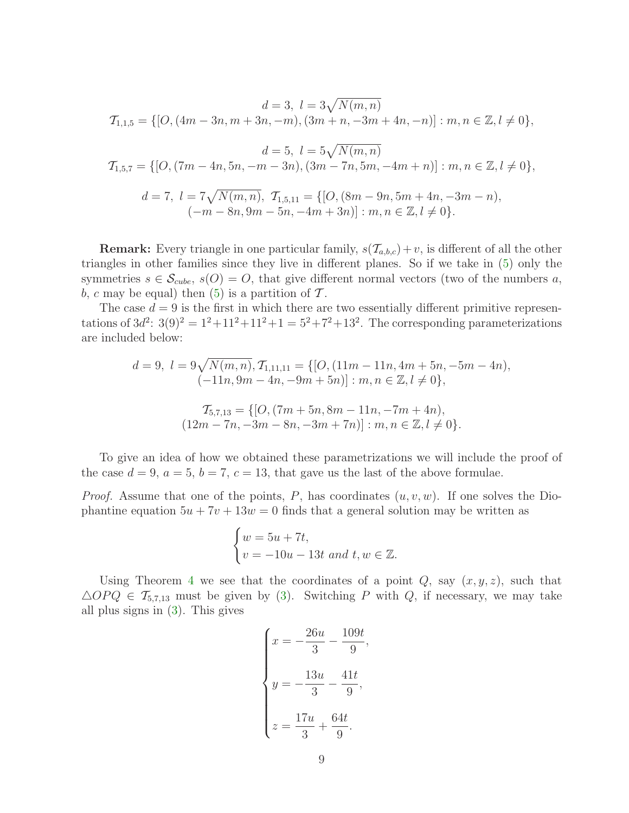$$
d = 3, l = 3\sqrt{N(m, n)}
$$
  
\n
$$
T_{1,1,5} = \{ [O, (4m - 3n, m + 3n, -m), (3m + n, -3m + 4n, -n)] : m, n \in \mathbb{Z}, l \neq 0 \},
$$
  
\n
$$
d = 5, l = 5\sqrt{N(m, n)}
$$
  
\n
$$
T_{1,5,7} = \{ [O, (7m - 4n, 5n, -m - 3n), (3m - 7n, 5m, -4m + n)] : m, n \in \mathbb{Z}, l \neq 0 \},
$$
  
\n
$$
d = 7, l = 7\sqrt{N(m, n)}, T_{1,5,11} = \{ [O, (8m - 9n, 5m + 4n, -3m - n), (-m - 8n, 9m - 5n, -4m + 3n)] : m, n \in \mathbb{Z}, l \neq 0 \}.
$$

**Remark:** Every triangle in one particular family,  $s(\mathcal{T}_{a,b,c}) + v$ , is different of all the other triangles in other families since they live in different planes. So if we take in [\(5\)](#page-7-1) only the symmetries  $s \in \mathcal{S}_{cube}$ ,  $s(O) = O$ , that give different normal vectors (two of the numbers a, b, c may be equal) then  $(5)$  is a partition of T.

The case  $d = 9$  is the first in which there are two essentially different primitive representations of  $3d^2$ :  $3(9)^2 = 1^2 + 11^2 + 11^2 + 1 = 5^2 + 7^2 + 13^2$ . The corresponding parameterizations are included below:

$$
d = 9, l = 9\sqrt{N(m, n)}, T_{1,11,11} = \{ [O, (11m - 11n, 4m + 5n, -5m - 4n),
$$
  

$$
(-11n, 9m - 4n, -9m + 5n) ] : m, n \in \mathbb{Z}, l \neq 0 \},
$$
  

$$
T_{5,7,13} = \{ [O, (7m + 5n, 8m - 11n, -7m + 4n),
$$
  

$$
(12m - 7n, -3m - 8n, -3m + 7n) ] : m, n \in \mathbb{Z}, l \neq 0 \}.
$$

To give an idea of how we obtained these parametrizations we will include the proof of the case  $d = 9$ ,  $a = 5$ ,  $b = 7$ ,  $c = 13$ , that gave us the last of the above formulae.

*Proof.* Assume that one of the points, P, has coordinates  $(u, v, w)$ . If one solves the Diophantine equation  $5u + 7v + 13w = 0$  finds that a general solution may be written as

$$
\begin{cases} w = 5u + 7t, \\ v = -10u - 13t \text{ and } t, w \in \mathbb{Z}. \end{cases}
$$

Using Theorem [4](#page-3-2) we see that the coordinates of a point  $Q$ , say  $(x, y, z)$ , such that  $\triangle OPQ \in \mathcal{T}_{5,7,13}$  must be given by [\(3\)](#page-4-0). Switching P with Q, if necessary, we may take all plus signs in [\(3\)](#page-4-0). This gives

$$
\begin{cases}\n x = -\frac{26u}{3} - \frac{109t}{9}, \\
 y = -\frac{13u}{3} - \frac{41t}{9}, \\
 z = \frac{17u}{3} + \frac{64t}{9}.\n\end{cases}
$$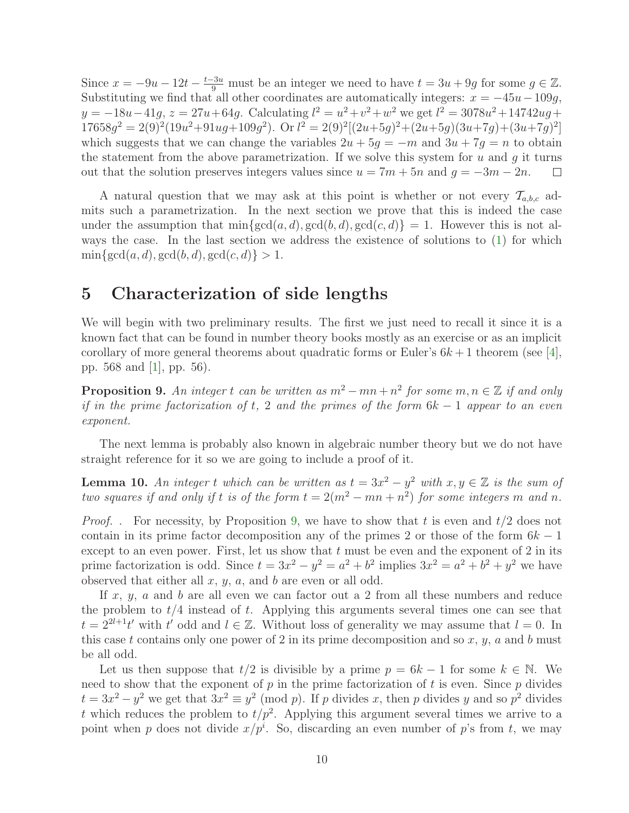Since  $x = -9u - 12t - \frac{t-3u}{9}$  must be an integer we need to have  $t = 3u + 9g$  for some  $g \in \mathbb{Z}$ . Substituting we find that all other coordinates are automatically integers:  $x = -45u - 109g$ ,  $y = -18u - 41g$ ,  $z = 27u + 64g$ . Calculating  $l^2 = u^2 + v^2 + w^2$  we get  $l^2 = 3078u^2 + 14742ug +$  $17658g^2 = 2(9)^2(19u^2+91ug+109g^2)$ . Or  $l^2 = 2(9)^2[(2u+5g)^2+(2u+5g)(3u+7g)+(3u+7g)^2]$ which suggests that we can change the variables  $2u + 5g = -m$  and  $3u + 7g = n$  to obtain the statement from the above parametrization. If we solve this system for  $u$  and  $q$  it turns out that the solution preserves integers values since  $u = 7m + 5n$  and  $g = -3m - 2n$ .  $\Box$ 

A natural question that we may ask at this point is whether or not every  $\mathcal{T}_{a,b,c}$  admits such a parametrization. In the next section we prove that this is indeed the case under the assumption that  $\min\{\gcd(a, d), \gcd(b, d), \gcd(c, d)\} = 1$ . However this is not always the case. In the last section we address the existence of solutions to [\(1\)](#page-2-0) for which  $\min\{\gcd(a, d), \gcd(b, d), \gcd(c, d)\} > 1.$ 

#### 5 Characterization of side lengths

We will begin with two preliminary results. The first we just need to recall it since it is a known fact that can be found in number theory books mostly as an exercise or as an implicit corollary of more general theorems about quadratic forms or Euler's  $6k + 1$  theorem (see [\[4\]](#page-16-3), pp. 568 and [\[1\]](#page-16-4), pp. 56).

<span id="page-9-0"></span>**Proposition 9.** An integer t can be written as  $m^2 - mn + n^2$  for some  $m, n \in \mathbb{Z}$  if and only if in the prime factorization of t, 2 and the primes of the form  $6k - 1$  appear to an even exponent.

<span id="page-9-1"></span>The next lemma is probably also known in algebraic number theory but we do not have straight reference for it so we are going to include a proof of it.

**Lemma 10.** An integer t which can be written as  $t = 3x^2 - y^2$  with  $x, y \in \mathbb{Z}$  is the sum of two squares if and only if t is of the form  $t = 2(m^2 - mn + n^2)$  for some integers m and n.

*Proof.* . For necessity, by Proposition [9,](#page-9-0) we have to show that t is even and  $t/2$  does not contain in its prime factor decomposition any of the primes 2 or those of the form  $6k - 1$ except to an even power. First, let us show that  $t$  must be even and the exponent of 2 in its prime factorization is odd. Since  $t = 3x^2 - y^2 = a^2 + b^2$  implies  $3x^2 = a^2 + b^2 + y^2$  we have observed that either all  $x, y, a$ , and  $b$  are even or all odd.

If  $x, y, a$  and b are all even we can factor out a 2 from all these numbers and reduce the problem to  $t/4$  instead of t. Applying this arguments several times one can see that  $t = 2^{2l+1}t'$  with  $t'$  odd and  $l \in \mathbb{Z}$ . Without loss of generality we may assume that  $l = 0$ . In this case t contains only one power of 2 in its prime decomposition and so  $x, y, a$  and b must be all odd.

Let us then suppose that  $t/2$  is divisible by a prime  $p = 6k - 1$  for some  $k \in \mathbb{N}$ . We need to show that the exponent of  $p$  in the prime factorization of  $t$  is even. Since  $p$  divides  $t = 3x^2 - y^2$  we get that  $3x^2 \equiv y^2 \pmod{p}$ . If p divides x, then p divides y and so  $p^2$  divides t which reduces the problem to  $t/p^2$ . Applying this argument several times we arrive to a point when p does not divide  $x/p^i$ . So, discarding an even number of p's from t, we may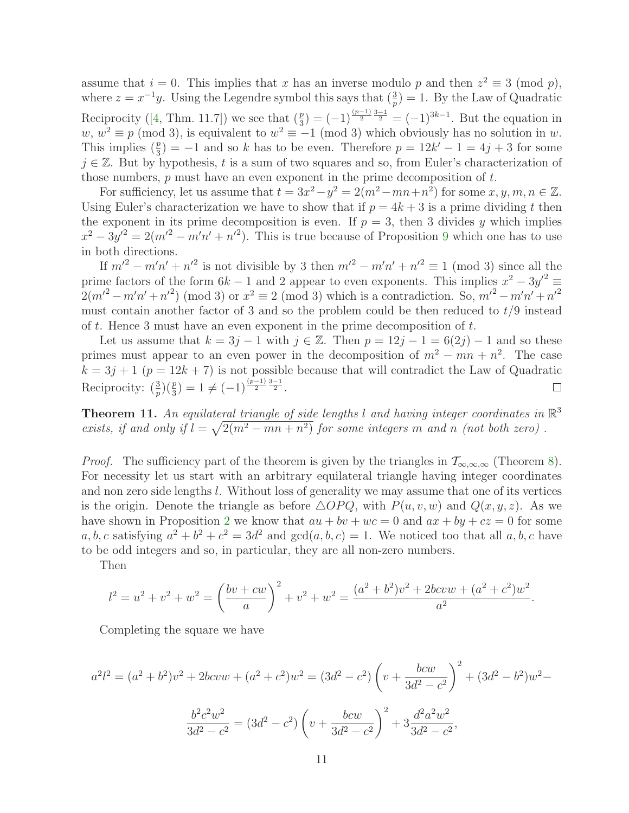assume that  $i = 0$ . This implies that x has an inverse modulo p and then  $z^2 \equiv 3 \pmod{p}$ , where  $z = x^{-1}y$ . Using the Legendre symbol this says that  $\left(\frac{3}{p}\right) = 1$ . By the Law of Quadratic Reciprocity ([\[4,](#page-16-3) Thm. 11.7]) we see that  $(\frac{p}{3}) = (-1)^{\frac{(p-1)}{2} \frac{3-1}{2}} = (-1)^{3k-1}$ . But the equation in  $w, w^2 \equiv p \pmod{3}$ , is equivalent to  $w^2 \equiv -1 \pmod{3}$  which obviously has no solution in w. This implies  $(\frac{p}{3}) = -1$  and so k has to be even. Therefore  $p = 12k' - 1 = 4j + 3$  for some  $j \in \mathbb{Z}$ . But by hypothesis, t is a sum of two squares and so, from Euler's characterization of those numbers,  $p$  must have an even exponent in the prime decomposition of  $t$ .

For sufficiency, let us assume that  $t = 3x^2 - y^2 = 2(m^2 - mn + n^2)$  for some  $x, y, m, n \in \mathbb{Z}$ . Using Euler's characterization we have to show that if  $p = 4k + 3$  is a prime dividing t then the exponent in its prime decomposition is even. If  $p = 3$ , then 3 divides y which implies  $x^2 - 3y'^2 = 2(m'^2 - m'n' + n'^2)$ . This is true because of Proposition [9](#page-9-0) which one has to use in both directions.

If  $m'^2 - m'n' + n'^2$  is not divisible by 3 then  $m'^2 - m'n' + n'^2 \equiv 1 \pmod{3}$  since all the prime factors of the form  $6k - 1$  and 2 appear to even exponents. This implies  $x^2 - 3y'^2 = 3$  $2(m^2 - m'n' + n'^2)$  (mod 3) or  $x^2 \equiv 2 \pmod{3}$  which is a contradiction. So,  $m'^2 - m'n' + n'^2$ must contain another factor of 3 and so the problem could be then reduced to  $t/9$  instead of t. Hence 3 must have an even exponent in the prime decomposition of  $t$ .

Let us assume that  $k = 3j - 1$  with  $j \in \mathbb{Z}$ . Then  $p = 12j - 1 = 6(2j) - 1$  and so these primes must appear to an even power in the decomposition of  $m^2 - mn + n^2$ . The case  $k = 3j + 1$  ( $p = 12k + 7$ ) is not possible because that will contradict the Law of Quadratic Reciprocity:  $\left(\frac{3}{p}\right)\left(\frac{p}{3}\right) = 1 \neq (-1)^{\frac{(p-1)}{2}\frac{3-1}{2}}$ .  $\Box$ 

<span id="page-10-0"></span>**Theorem 11.** An equilateral triangle of side lengths l and having integer coordinates in  $\mathbb{R}^3$ exists, if and only if  $l = \sqrt{2(m^2 - mn + n^2)}$  for some integers m and n (not both zero).

*Proof.* The sufficiency part of the theorem is given by the triangles in  $\mathcal{T}_{\infty,\infty,\infty}$  (Theorem [8\)](#page-7-0). For necessity let us start with an arbitrary equilateral triangle having integer coordinates and non zero side lengths l. Without loss of generality we may assume that one of its vertices is the origin. Denote the triangle as before  $\triangle OPQ$ , with  $P(u, v, w)$  and  $Q(x, y, z)$ . As we have shown in Proposition [2](#page-3-0) we know that  $au + bv + wc = 0$  and  $ax + by + cz = 0$  for some a, b, c satisfying  $a^2 + b^2 + c^2 = 3d^2$  and  $gcd(a, b, c) = 1$ . We noticed too that all a, b, c have to be odd integers and so, in particular, they are all non-zero numbers.

Then

$$
l^{2} = u^{2} + v^{2} + w^{2} = \left(\frac{bv + cw}{a}\right)^{2} + v^{2} + w^{2} = \frac{(a^{2} + b^{2})v^{2} + 2bcvw + (a^{2} + c^{2})w^{2}}{a^{2}}.
$$

Completing the square we have

$$
a^{2}l^{2} = (a^{2} + b^{2})v^{2} + 2bcvw + (a^{2} + c^{2})w^{2} = (3d^{2} - c^{2})\left(v + \frac{bcw}{3d^{2} - c^{2}}\right)^{2} + (3d^{2} - b^{2})w^{2} -
$$

$$
\frac{b^{2}c^{2}w^{2}}{3d^{2} - c^{2}} = (3d^{2} - c^{2})\left(v + \frac{bcw}{3d^{2} - c^{2}}\right)^{2} + 3\frac{d^{2}a^{2}w^{2}}{3d^{2} - c^{2}},
$$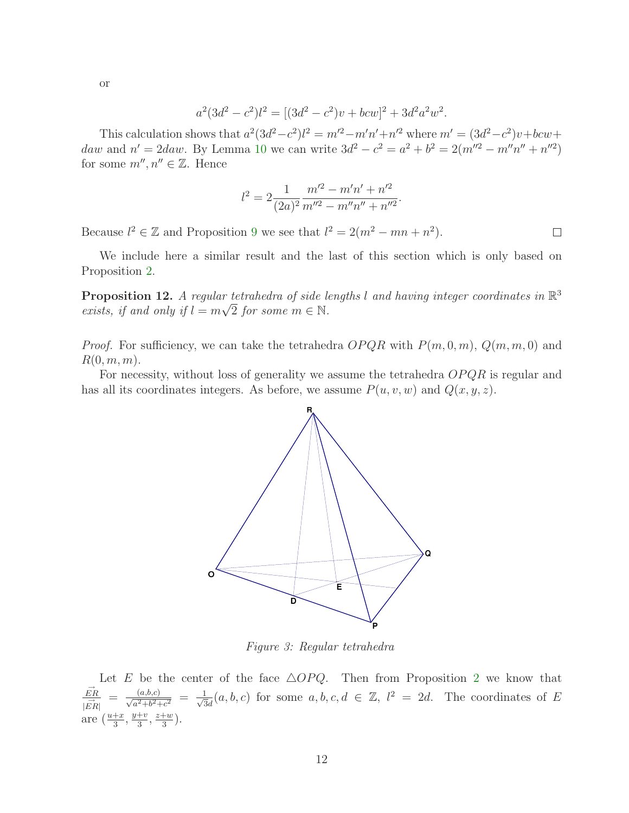or

$$
a^2(3d^2 - c^2)l^2 = [(3d^2 - c^2)v + bcw]^2 + 3d^2a^2w^2.
$$

This calculation shows that  $a^2(3d^2-c^2)l^2 = m'^2-m'n'+n'^2$  where  $m' = (3d^2-c^2)v + bcw +$ daw and  $n' = 2daw$ . By Lemma [10](#page-9-1) we can write  $3d^2 - c^2 = a^2 + b^2 = 2(m''^2 - m''n'' + n''^2)$ for some  $m'', n'' \in \mathbb{Z}$ . Hence

$$
l^{2} = 2\frac{1}{(2a)^{2}}\frac{m'^{2} - m'n' + n'^{2}}{m''^{2} - m''n'' + n''^{2}}
$$

.

 $\Box$ 

Because  $l^2 \in \mathbb{Z}$  and Proposition [9](#page-9-0) we see that  $l^2 = 2(m^2 - mn + n^2)$ .

We include here a similar result and the last of this section which is only based on Proposition [2.](#page-3-0)

**Proposition 12.** A regular tetrahedra of side lengths l and having integer coordinates in  $\mathbb{R}^3$ exists, if and only if  $l = m\sqrt{2}$  for some  $m \in \mathbb{N}$ .

*Proof.* For sufficiency, we can take the tetrahedra  $OPQR$  with  $P(m, 0, m)$ ,  $Q(m, m, 0)$  and  $R(0, m, m)$ .

For necessity, without loss of generality we assume the tetrahedra  $OPQR$  is regular and has all its coordinates integers. As before, we assume  $P(u, v, w)$  and  $Q(x, y, z)$ .



Figure 3: Regular tetrahedra

Let E be the center of the face  $\triangle OPQ$ . Then from Proposition [2](#page-3-0) we know that  $\vec{ER}$ |  $\frac{\overline{A}}{ER}$  $=\frac{(a,b,c)}{\sqrt{a^2+b^2+c^2}} = \frac{1}{\sqrt{3}}$  $\frac{1}{3d}(a, b, c)$  for some  $a, b, c, d \in \mathbb{Z}$ ,  $l^2 = 2d$ . The coordinates of E are  $\left(\frac{u+x}{3}, \frac{y+v}{3}\right)$  $\frac{+v}{3}, \frac{z+w}{3}$  $\frac{w}{3}$ .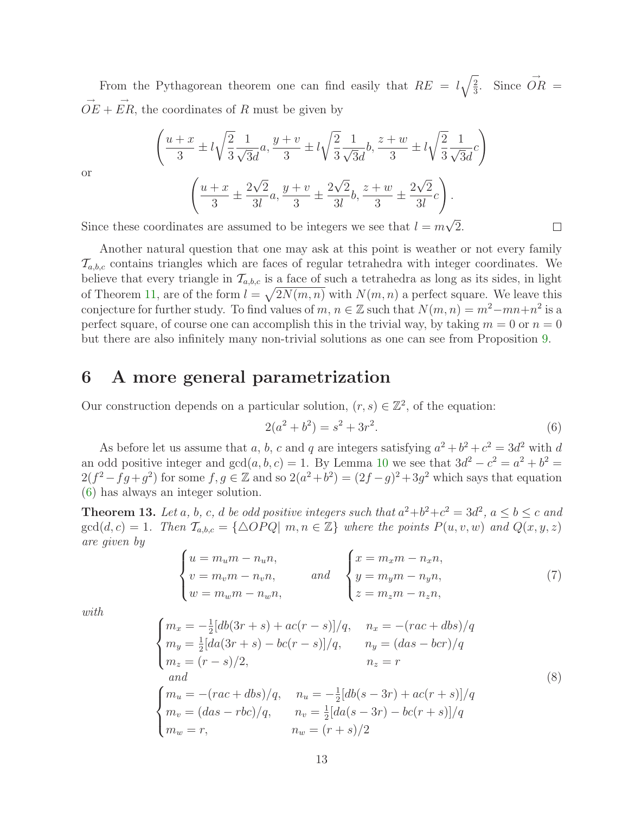From the Pythagorean theorem one can find easily that  $RE = l\sqrt{\frac{2}{3}}$  $\frac{2}{3}$ . Since  $\overrightarrow{OR}$  =  $\overrightarrow{OE} + \overrightarrow{ER}$ , the coordinates of R must be given by

$$
\left(\frac{u+x}{3} \pm l\sqrt{\frac{2}{3}} \frac{1}{\sqrt{3}d}a, \frac{y+v}{3} \pm l\sqrt{\frac{2}{3}} \frac{1}{\sqrt{3}d}b, \frac{z+w}{3} \pm l\sqrt{\frac{2}{3}} \frac{1}{\sqrt{3}d}c\right)
$$

$$
\left(\frac{u+x}{3} \pm \frac{2\sqrt{2}}{3l}a, \frac{y+v}{3} \pm \frac{2\sqrt{2}}{3l}b, \frac{z+w}{3} \pm \frac{2\sqrt{2}}{3l}c\right).
$$

or

Since these coordinates are assumed to be integers we see that  $l = m\sqrt{2}$ .

Another natural question that one may ask at this point is weather or not every family  $\mathcal{T}_{a,b,c}$  contains triangles which are faces of regular tetrahedra with integer coordinates. We believe that every triangle in  $\mathcal{T}_{a,b,c}$  is a face of such a tetrahedra as long as its sides, in light of Theorem [11,](#page-10-0) are of the form  $l = \sqrt{2N(m, n)}$  with  $N(m, n)$  a perfect square. We leave this conjecture for further study. To find values of  $m, n \in \mathbb{Z}$  such that  $N(m, n) = m^2 - mn + n^2$  is a perfect square, of course one can accomplish this in the trivial way, by taking  $m = 0$  or  $n = 0$ but there are also infinitely many non-trivial solutions as one can see from Proposition [9.](#page-9-0)

#### 6 A more general parametrization

Our construction depends on a particular solution,  $(r, s) \in \mathbb{Z}^2$ , of the equation:

<span id="page-12-0"></span>
$$
2(a^2 + b^2) = s^2 + 3r^2.
$$
\n(6)

 $\Box$ 

As before let us assume that a, b, c and q are integers satisfying  $a^2 + b^2 + c^2 = 3d^2$  with d an odd positive integer and  $gcd(a, b, c) = 1$ . By Lemma [10](#page-9-1) we see that  $3d^2 - c^2 = a^2 + b^2 =$  $2(f^2 - fg + g^2)$  for some  $f, g \in \mathbb{Z}$  and so  $2(a^2 + b^2) = (2f - g)^2 + 3g^2$  which says that equation [\(6\)](#page-12-0) has always an integer solution.

<span id="page-12-3"></span><span id="page-12-1"></span>**Theorem 13.** Let a, b, c, d be odd positive integers such that  $a^2+b^2+c^2=3d^2$ ,  $a \le b \le c$  and  $gcd(d, c) = 1$ . Then  $\mathcal{T}_{a,b,c} = {\{\triangle OPQ | m, n \in \mathbb{Z}\}}$  where the points  $P(u, v, w)$  and  $Q(x, y, z)$ are given by

$$
\begin{cases}\n u = m_u m - n_u n, \\
 v = m_v m - n_v n, \\
 w = m_w m - n_w n,\n\end{cases}\n\quad \text{and} \quad\n\begin{cases}\n x = m_x m - n_x n, \\
 y = m_y m - n_y n, \\
 z = m_z m - n_z n,\n\end{cases}\n\tag{7}
$$

<span id="page-12-2"></span>with

$$
\begin{cases}\nm_x = -\frac{1}{2}[db(3r+s) + ac(r-s)]/q, & n_x = -(rac+dbs)/q \\
m_y = \frac{1}{2}[da(3r+s) - bc(r-s)]/q, & n_y = (das - bcr)/q \\
m_z = (r-s)/2, & n_z = r\n\end{cases}
$$
\n(8)  
\n
$$
\begin{cases}\nm_u = -(rac+dbs)/q, & n_u = -\frac{1}{2}[db(s-3r) + ac(r+s)]/q \\
m_v = (das - rbc)/q, & n_v = \frac{1}{2}[da(s-3r) - bc(r+s)]/q \\
m_w = r, & n_w = (r+s)/2\n\end{cases}
$$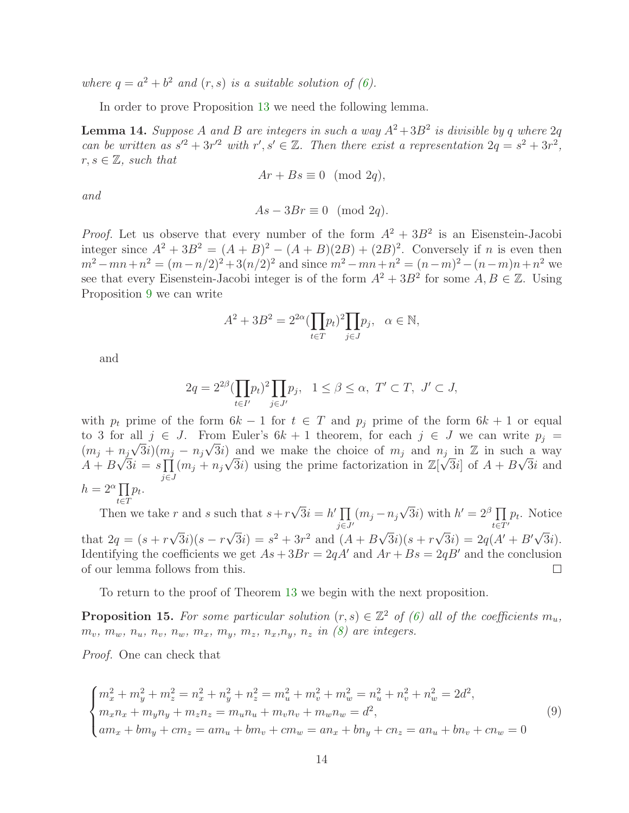where  $q = a^2 + b^2$  and  $(r, s)$  is a suitable solution of [\(6\)](#page-12-0).

In order to prove Proposition [13](#page-12-1) we need the following lemma.

<span id="page-13-1"></span>**Lemma 14.** Suppose A and B are integers in such a way  $A^2 + 3B^2$  is divisible by q where  $2q$ can be written as  $s^2 + 3r^2$  with  $r', s' \in \mathbb{Z}$ . Then there exist a representation  $2q = s^2 + 3r^2$ ,  $r, s \in \mathbb{Z}$ , such that

$$
Ar + Bs \equiv 0 \pmod{2q},
$$

and

$$
As - 3Br \equiv 0 \pmod{2q}.
$$

*Proof.* Let us observe that every number of the form  $A^2 + 3B^2$  is an Eisenstein-Jacobi integer since  $A^2 + 3B^2 = (A + B)^2 - (A + B)(2B) + (2B)^2$ . Conversely if *n* is even then  $m^2 - mn + n^2 = (m - n/2)^2 + 3(n/2)^2$  and since  $m^2 - mn + n^2 = (n - m)^2 - (n - m)n + n^2$  we see that every Eisenstein-Jacobi integer is of the form  $A^2 + 3B^2$  for some  $A, B \in \mathbb{Z}$ . Using Proposition [9](#page-9-0) we can write

$$
A^2 + 3B^2 = 2^{2\alpha} \left(\prod_{t \in T} p_t\right)^2 \prod_{j \in J} p_j, \quad \alpha \in \mathbb{N},
$$

and

$$
2q = 2^{2\beta} \left(\prod_{t \in I'} p_t\right)^2 \prod_{j \in J'} p_j, \quad 1 \le \beta \le \alpha, \ T' \subset T, \ J' \subset J,
$$

with  $p_t$  prime of the form  $6k - 1$  for  $t \in T$  and  $p_j$  prime of the form  $6k + 1$  or equal to 3 for all  $j \in J$ . From Euler's  $6k + 1$  theorem, for each  $j \in J$  we can write  $p_j =$  $(m_j + n_j\sqrt{3}i)(m_j - n_j\sqrt{3}i)$  and we make the choice of  $m_j$  and  $n_j$  in  $\mathbb{Z}$  in such a way  $A + B\sqrt{3}i = s\prod (m_j + n_j\sqrt{3}i)$  using the prime factorization in  $\mathbb{Z}[\sqrt{3}i]$  of  $A + B\sqrt{3}i$  and j∈J  $h = 2^{\alpha} \prod p_t.$  $t \in T$ 

Then we take r and s such that  $s + r\sqrt{3}i = h' \prod$  $(m_j - n_j\sqrt{3}i)$  with  $h' = 2^{\beta} \prod_{i \in \mathbb{Z}}$  $p_t$ . Notice  $j\bar{\in}J'$  $t\bar{\in}\bar{T}'$ that  $2q = (s + r\sqrt{3}i)(s - r\sqrt{3}i) = s^2 + 3r^2$  and  $(A + B\sqrt{3}i)(s + r\sqrt{3}i) = 2q(A' + B'\sqrt{3}i)$ . Identifying the coefficients we get  $As + 3Br = 2qA'$  and  $Ar + Bs = 2qB'$  and the conclusion of our lemma follows from this.  $\Box$ 

To return to the proof of Theorem [13](#page-12-1) we begin with the next proposition.

**Proposition 15.** For some particular solution  $(r, s) \in \mathbb{Z}^2$  of [\(6\)](#page-12-0) all of the coefficients  $m_u$ ,  $m_v, m_w, n_u, n_v, n_w, m_x, m_y, m_z, n_x, n_y, n_z$  in [\(8\)](#page-12-2) are integers.

<span id="page-13-0"></span>Proof. One can check that

$$
\begin{cases}\nm_x^2 + m_y^2 + m_z^2 = n_x^2 + n_y^2 + n_z^2 = m_u^2 + m_v^2 + m_w^2 = n_u^2 + n_v^2 + n_w^2 = 2d^2, \\
m_x n_x + m_y n_y + m_z n_z = m_u n_u + m_v n_v + m_w n_w = d^2, \\
am_x + bm_y + cm_z = am_u + bm_v + cm_w = an_x + bn_y + cn_z = an_u + bn_v + cn_w = 0\n\end{cases}
$$
\n(9)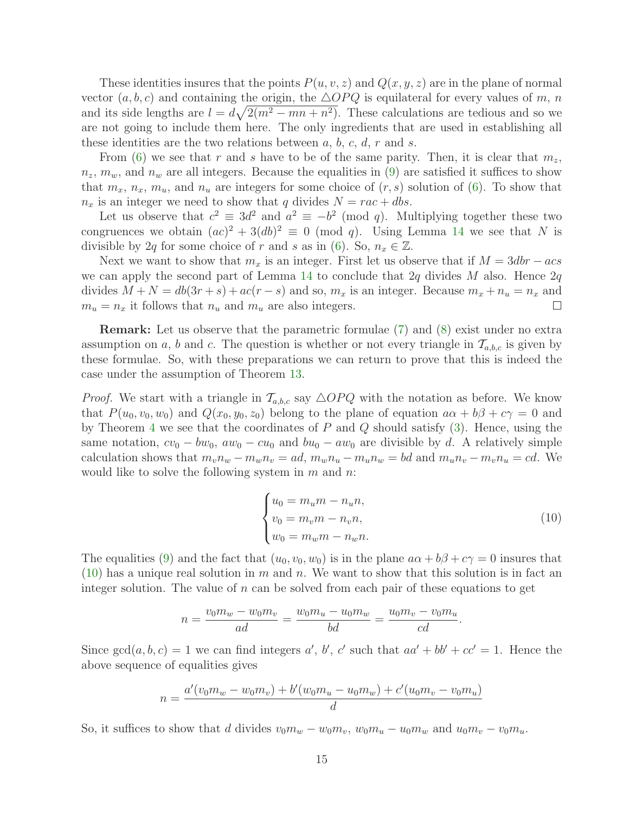These identities insures that the points  $P(u, v, z)$  and  $Q(x, y, z)$  are in the plane of normal vector  $(a, b, c)$  and containing the origin, the  $\triangle OPQ$  is equilateral for every values of m, n and its side lengths are  $l = d\sqrt{2(m^2 - mn + n^2)}$ . These calculations are tedious and so we are not going to include them here. The only ingredients that are used in establishing all these identities are the two relations between  $a, b, c, d, r$  and  $s$ .

From [\(6\)](#page-12-0) we see that r and s have to be of the same parity. Then, it is clear that  $m_z$ ,  $n_z$ ,  $m_w$ , and  $n_w$  are all integers. Because the equalities in [\(9\)](#page-13-0) are satisfied it suffices to show that  $m_x$ ,  $n_x$ ,  $m_u$ , and  $n_u$  are integers for some choice of  $(r, s)$  solution of  $(6)$ . To show that  $n_x$  is an integer we need to show that q divides  $N = rac + dbs$ .

Let us observe that  $c^2 \equiv 3d^2$  and  $a^2 \equiv -b^2 \pmod{q}$ . Multiplying together these two congruences we obtain  $(ac)^2 + 3(db)^2 \equiv 0 \pmod{q}$ . Using Lemma [14](#page-13-1) we see that N is divisible by 2q for some choice of r and s as in [\(6\)](#page-12-0). So,  $n_x \in \mathbb{Z}$ .

Next we want to show that  $m_x$  is an integer. First let us observe that if  $M = 3dbr - acs$ we can apply the second part of Lemma [14](#page-13-1) to conclude that  $2q$  divides M also. Hence  $2q$ divides  $M + N = db(3r + s) + ac(r - s)$  and so,  $m_x$  is an integer. Because  $m_x + n_u = n_x$  and  $m_y = n_x$  it follows that  $n_y$  and  $m_y$  are also integers.  $m_u = n_x$  it follows that  $n_u$  and  $m_u$  are also integers.

Remark: Let us observe that the parametric formulae [\(7\)](#page-12-3) and [\(8\)](#page-12-2) exist under no extra assumption on a, b and c. The question is whether or not every triangle in  $\mathcal{T}_{a,b,c}$  is given by these formulae. So, with these preparations we can return to prove that this is indeed the case under the assumption of Theorem [13.](#page-12-1)

<span id="page-14-0"></span>*Proof.* We start with a triangle in  $\mathcal{T}_{a,b,c}$  say  $\triangle OPQ$  with the notation as before. We know that  $P(u_0, v_0, w_0)$  and  $Q(x_0, y_0, z_0)$  belong to the plane of equation  $a\alpha + b\beta + c\gamma = 0$  and by Theorem [4](#page-3-2) we see that the coordinates of  $P$  and  $Q$  should satisfy  $(3)$ . Hence, using the same notation,  $cv_0 - bw_0$ ,  $aw_0 - cu_0$  and  $bu_0 - aw_0$  are divisible by d. A relatively simple calculation shows that  $m_v n_w - m_w n_v = ad$ ,  $m_w n_u - m_u n_w = bd$  and  $m_u n_v - m_v n_u = cd$ . We would like to solve the following system in  $m$  and  $n$ .

$$
\begin{cases}\n u_0 = m_u m - n_u n, \\
 v_0 = m_v m - n_v n, \\
 w_0 = m_w m - n_w n.\n\end{cases}
$$
\n(10)

The equalities [\(9\)](#page-13-0) and the fact that  $(u_0, v_0, w_0)$  is in the plane  $a\alpha + b\beta + c\gamma = 0$  insures that  $(10)$  has a unique real solution in m and n. We want to show that this solution is in fact an integer solution. The value of  $n$  can be solved from each pair of these equations to get

$$
n = \frac{v_0 m_w - w_0 m_v}{ad} = \frac{w_0 m_u - u_0 m_w}{bd} = \frac{u_0 m_v - v_0 m_u}{cd}.
$$

Since  $gcd(a, b, c) = 1$  we can find integers a', b', c' such that  $aa' + bb' + cc' = 1$ . Hence the above sequence of equalities gives

$$
n = \frac{a'(v_0m_w - w_0m_v) + b'(w_0m_u - u_0m_w) + c'(u_0m_v - v_0m_u)}{d}
$$

So, it suffices to show that d divides  $v_0m_w - w_0m_v$ ,  $w_0m_u - u_0m_w$  and  $u_0m_v - v_0m_u$ .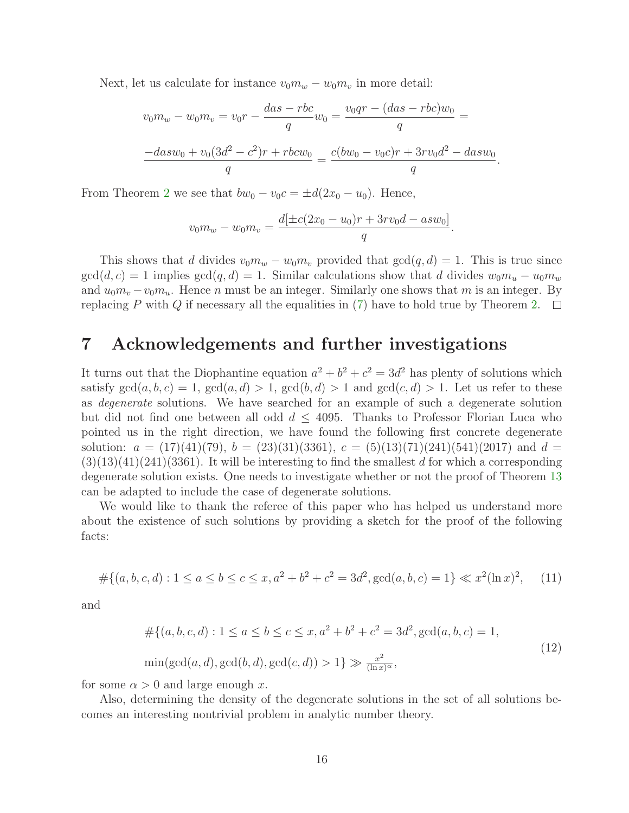Next, let us calculate for instance  $v_0m_w - w_0m_v$  in more detail:

$$
v_0m_w - w_0m_v = v_0r - \frac{das - rbc}{q}w_0 = \frac{v_0qr - (das - rbc)w_0}{q} =
$$
  

$$
\frac{-dasw_0 + v_0(3d^2 - c^2)r + rbcw_0}{q} = \frac{c(bw_0 - v_0c)r + 3rv_0d^2 - dasw_0}{q}
$$

.

From Theorem [2](#page-3-0) we see that  $bw_0 - v_0c = \pm d(2x_0 - u_0)$ . Hence,

$$
v_0 m_w - w_0 m_v = \frac{d[\pm c(2x_0 - u_0)r + 3rv_0d - asw_0]}{q}.
$$

This shows that d divides  $v_0m_w - w_0m_v$  provided that  $gcd(q, d) = 1$ . This is true since  $gcd(d, c) = 1$  implies  $gcd(q, d) = 1$ . Similar calculations show that d divides  $w_0m_u - u_0m_w$ and  $u_0m_v - v_0m_u$ . Hence n must be an integer. Similarly one shows that m is an integer. By replacing P with Q if necessary all the equalities in [\(7\)](#page-12-3) have to hold true by Theorem [2.](#page-3-0)  $\Box$ 

#### 7 Acknowledgements and further investigations

It turns out that the Diophantine equation  $a^2 + b^2 + c^2 = 3d^2$  has plenty of solutions which satisfy  $gcd(a, b, c) = 1$ ,  $gcd(a, d) > 1$ ,  $gcd(b, d) > 1$  and  $gcd(c, d) > 1$ . Let us refer to these as degenerate solutions. We have searched for an example of such a degenerate solution but did not find one between all odd  $d \leq 4095$ . Thanks to Professor Florian Luca who pointed us in the right direction, we have found the following first concrete degenerate solution:  $a = (17)(41)(79)$ ,  $b = (23)(31)(3361)$ ,  $c = (5)(13)(71)(241)(541)(2017)$  and  $d =$  $(3)(13)(41)(241)(3361)$ . It will be interesting to find the smallest d for which a corresponding degenerate solution exists. One needs to investigate whether or not the proof of Theorem [13](#page-12-1) can be adapted to include the case of degenerate solutions.

We would like to thank the referee of this paper who has helped us understand more about the existence of such solutions by providing a sketch for the proof of the following facts:

$$
#\{(a, b, c, d) : 1 \le a \le b \le c \le x, a^2 + b^2 + c^2 = 3d^2, \gcd(a, b, c) = 1\} \ll x^2(\ln x)^2, \quad (11)
$$

and

$$
\#\{(a, b, c, d) : 1 \le a \le b \le c \le x, a^2 + b^2 + c^2 = 3d^2, \gcd(a, b, c) = 1, \min(\gcd(a, d), \gcd(b, d), \gcd(c, d)) > 1\} \gg \frac{x^2}{(\ln x)^{\alpha}},
$$
\n(12)

for some  $\alpha > 0$  and large enough x.

Also, determining the density of the degenerate solutions in the set of all solutions becomes an interesting nontrivial problem in analytic number theory.